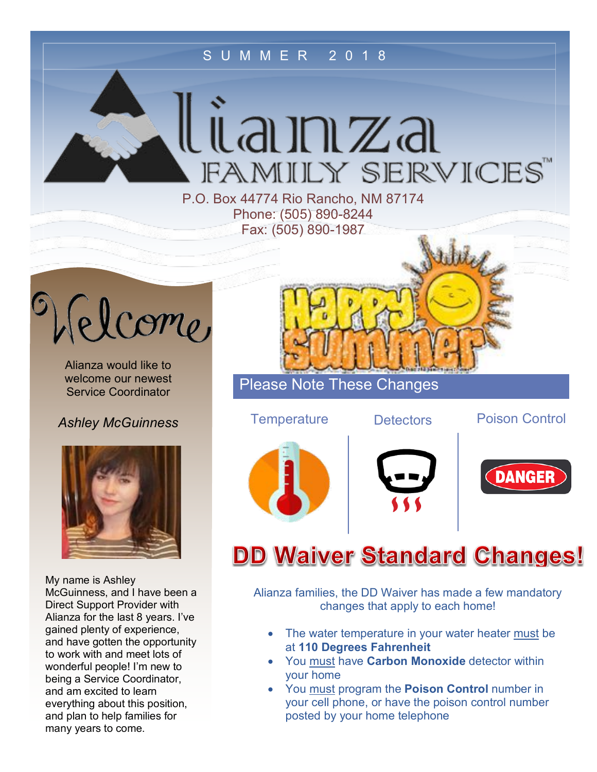### SUMMER 2018

lianza FAMILY SERVICES

P.O. Box 44774 Rio Rancho, NM 87174 Phone: (505) 890-8244 Fax: (505) 890-1987



Alianza would like to welcome our newest Service Coordinator

*Ashley McGuinness*



My name is Ashley McGuinness, and I have been a Direct Support Provider with Alianza for the last 8 years. I've gained plenty of experience, and have gotten the opportunity to work with and meet lots of wonderful people! I'm new to being a Service Coordinator, and am excited to learn everything about this position, and plan to help families for many years to come.

Please Note These Changes





Temperature Detectors Poison Control





# **DD Waiver Standard Changes!**

Alianza families, the DD Waiver has made a few mandatory changes that apply to each home!

- The water temperature in your water heater must be at **110 Degrees Fahrenheit**
- You must have **Carbon Monoxide** detector within your home
- You must program the **Poison Control** number in your cell phone, or have the poison control number posted by your home telephone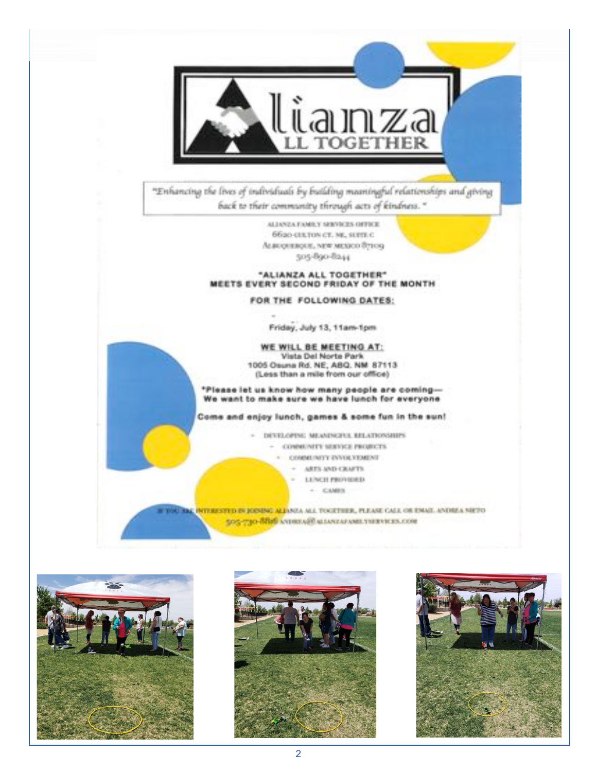

"Enhancing the lives of individuals by building meaningful relationships and giving back to their community through acts of kindness."

> ALIANZA FAMILY SERVICES OFFICE 6620-GLUON CT. NE, SUITE C АLBUQUERQUE, NEW MEXICO Вутоку 505-890-8244

#### "ALIANZA ALL TOGETHER" MEETS EVERY SECOND FRIDAY OF THE MONTH

### FOR THE FOLLOWING DATES:

Friday, July 13, 11am-1pm

WE WILL BE MEETING AT: Vista Del Norte Park 1005 Osuna Rd. NE, ABQ. NM 87113 (Less than a mile from our office)

\*Please let us know how many people are coming-We want to make sure we have lunch for everyone

Come and enjoy lunch, games & some fun in the sun!

DEVELOPING MEANINGFUL RELATIONSHIPS - CONNENTY SERVICE PROJECTS COMMENTY EVVOLVEMENT

- ARTS AND CRAFTS
- LONCH PROVIDED  $\sim$ 
	- $-$  CAMES

**F WAL THE INTERESTED IN JOINING ALL**ANCA ALL TOGETHER, PLEASE CALL OR ENAIT. ANDREA NIETO 505-730-BBB ANDREARD MEANWAR AND VERNIERS COM





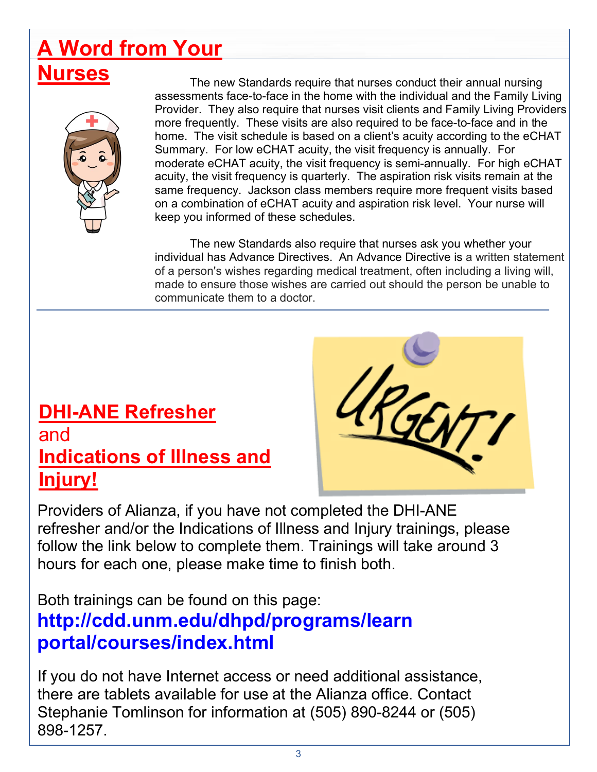# **A Word from Your**



**Nurses**<br>The new Standards require that nurses conduct their annual nursing assessments face-to-face in the home with the individual and the Family Living Provider. They also require that nurses visit clients and Family Living Providers more frequently. These visits are also required to be face-to-face and in the home. The visit schedule is based on a client's acuity according to the eCHAT Summary. For low eCHAT acuity, the visit frequency is annually. For moderate eCHAT acuity, the visit frequency is semi-annually. For high eCHAT acuity, the visit frequency is quarterly. The aspiration risk visits remain at the same frequency. Jackson class members require more frequent visits based on a combination of eCHAT acuity and aspiration risk level. Your nurse will keep you informed of these schedules.

> The new Standards also require that nurses ask you whether your individual has Advance Directives. An Advance Directive is a written statement of a person's wishes regarding medical treatment, often including a living will, made to ensure those wishes are carried out should the person be unable to communicate them to a doctor.

## **DHI-ANE Refresher** and **Indications of Illness and Injury!**



Providers of Alianza, if you have not completed the DHI-ANE refresher and/or the Indications of Illness and Injury trainings, please follow the link below to complete them. Trainings will take around 3 hours for each one, please make time to finish both.

Both trainings can be found on this page: **http://cdd.unm.edu/dhpd/programs/learn portal/courses/index.html**

If you do not have Internet access or need additional assistance, there are tablets available for use at the Alianza office. Contact Stephanie Tomlinson for information at (505) 890-8244 or (505) 898-1257.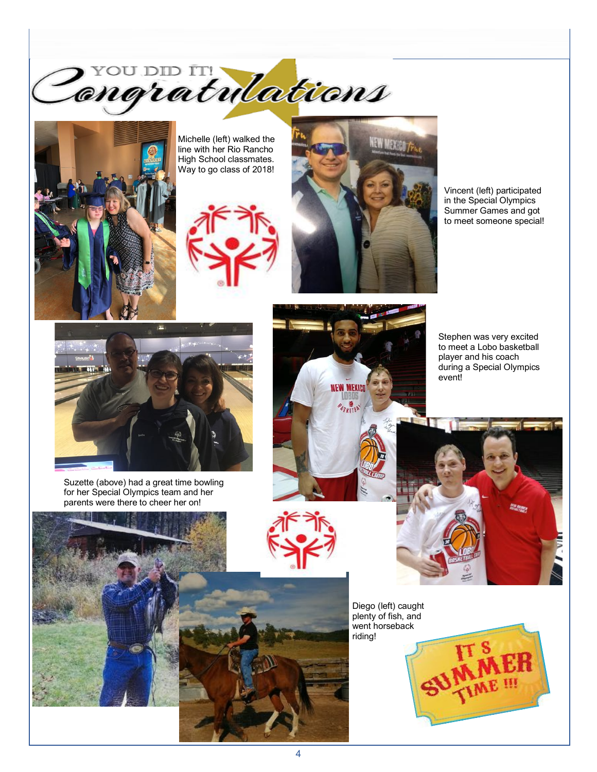Z YOU DID IN NO COND



Michelle (left) walked the line with her Rio Rancho High School classmates. Way to go class of 2018!





Vincent (left) participated in the Special Olympics Summer Games and got to meet someone special!



Suzette (above) had a great time bowling for her Special Olympics team and her parents were there to cheer her on!



Stephen was very excited to meet a Lobo basketball player and his coach during a Special Olympics event!



riding!